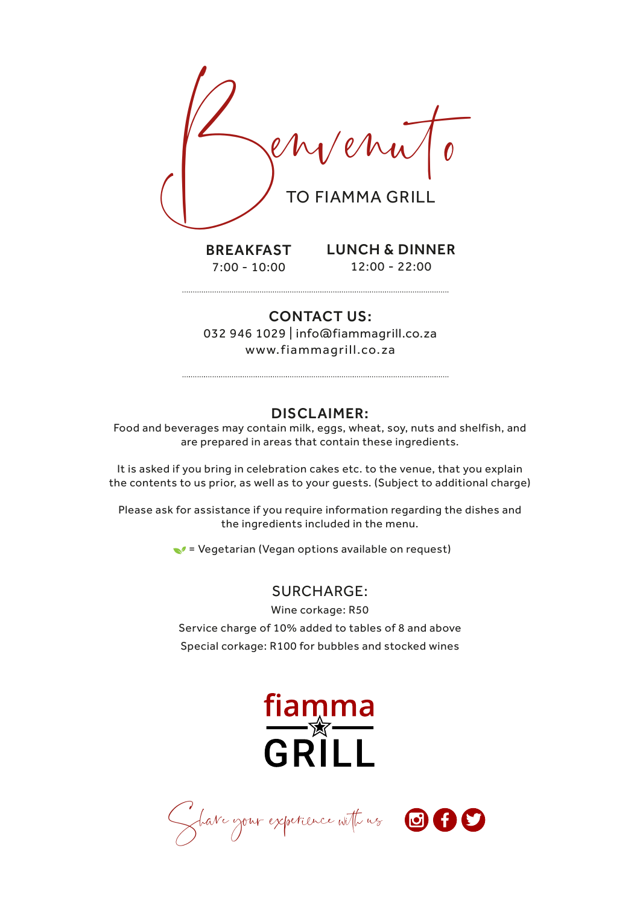

### CONTACT US:

032 946 1029 | info@fiammagrill.co.za www.fiammagrill.co.za

## DISCLAIMER:

Food and beverages may contain milk, eggs, wheat, soy, nuts and shelfish, and are prepared in areas that contain these ingredients.

It is asked if you bring in celebration cakes etc. to the venue, that you explain the contents to us prior, as well as to your guests. (Subject to additional charge)

Please ask for assistance if you require information regarding the dishes and the ingredients included in the menu.

 $\blacktriangleright$  = Vegetarian (Vegan options available on request)

## SURCHARGE:

Wine corkage: R50 Service charge of 10% added to tables of 8 and above Special corkage: R100 for bubbles and stocked wines



Share your experience with us  $\bigcirc$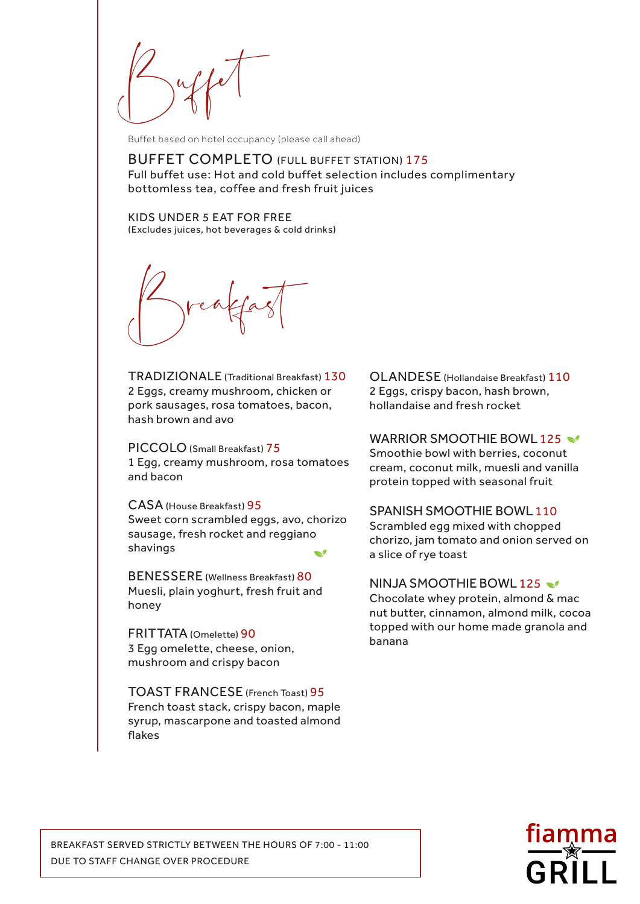$\int \int u f(x) dx$ 

Buffet based on hotel occupancy (please call ahead)

BUFFET COMPLETO (FULL BUFFET STATION) 175 Full buffet use: Hot and cold buffet selection includes complimentary bottomless tea, coffee and fresh fruit juices

KIDS UNDER 5 EAT FOR FREE (Excludes juices, hot beverages & cold drinks)

Breakfast

TRADIZIONALE (Traditional Breakfast) 130 2 Eggs, creamy mushroom, chicken or pork sausages, rosa tomatoes, bacon, hash brown and avo

PICCOLO (Small Breakfast) 75 1 Egg, creamy mushroom, rosa tomatoes and bacon

CASA (House Breakfast) 95 Sweet corn scrambled eggs, avo, chorizo sausage, fresh rocket and reggiano shavings  $\mathcal{A}$ 

BENESSERE (Wellness Breakfast) 80 Muesli, plain yoghurt, fresh fruit and honey

FRITTATA (Omelette) 90 3 Egg omelette, cheese, onion, mushroom and crispy bacon

TOAST FRANCESE (French Toast) 95 French toast stack, crispy bacon, maple syrup, mascarpone and toasted almond flakes

OLANDESE (Hollandaise Breakfast) 110 2 Eggs, crispy bacon, hash brown, hollandaise and fresh rocket

WARRIOR SMOOTHIE BOWL 125

Smoothie bowl with berries, coconut cream, coconut milk, muesli and vanilla protein topped with seasonal fruit

#### SPANISH SMOOTHIE BOWL 110

Scrambled egg mixed with chopped chorizo, jam tomato and onion served on a slice of rye toast

#### NINJA SMOOTHIE BOWL 125

Chocolate whey protein, almond & mac nut butter, cinnamon, almond milk, cocoa topped with our home made granola and banana

BREAKFAST SERVED STRICTLY BETWEEN THE HOURS OF 7:00 - 11:00 DUE TO STAFF CHANGE OVER PROCEDURE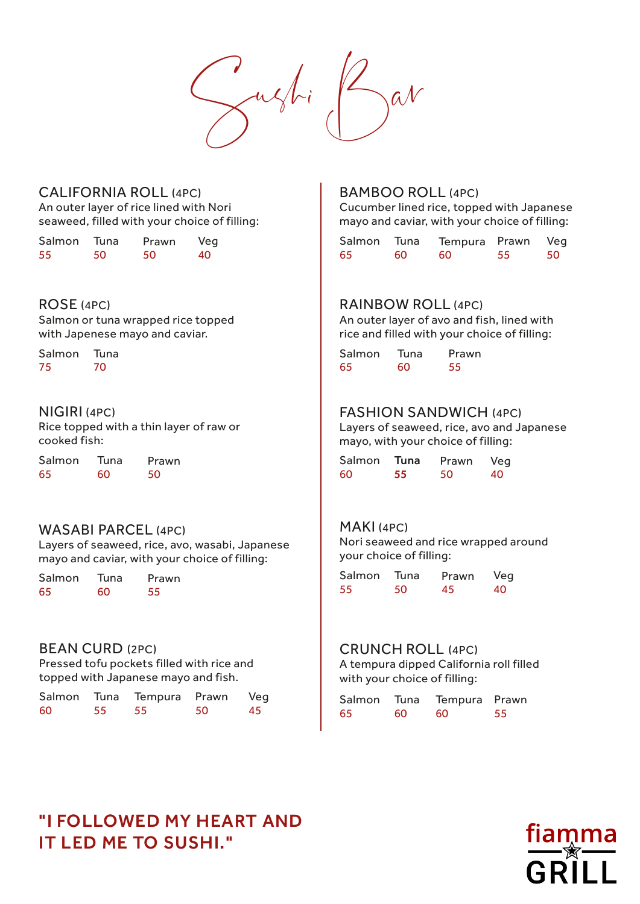$\leftarrow$ ughi

### CALIFORNIA ROLL (4PC)

An outer layer of rice lined with Nori seaweed, filled with your choice of filling:

| Salmon | Tuna | Prawn | Veg |
|--------|------|-------|-----|
| 55     | 50   | 50    | 40  |

#### ROSE (4PC)

Salmon or tuna wrapped rice topped with Japenese mayo and caviar.

Salmon Salmon 75 70 65

### NIGIRI (4PC)

Rice topped with a thin layer of raw or cooked fish:

Salmon Salmon 65 60 Tuna Tuna 60 55

### WASABI PARCEL (4PC)

Layers of seaweed, rice, avo, wasabi, Japanese mayo and caviar, with your choice of filling:

Salmon Salmon 65 60 55 35 60 55 50

### BEAN CURD (2PC)

Pressed tofu pockets filled with rice and topped with Japanese mayo and fish.

|    |       | Salmon Tuna Tempura Prawn Veg |    | Salmon Tuna Tempura |       |      |
|----|-------|-------------------------------|----|---------------------|-------|------|
| 60 | 55 55 |                               | 50 |                     | 60 60 | - 60 |

### BAMBOO ROLL (4PC)

Cucumber lined rice, topped with Japanese mayo and caviar, with your choice of filling:

|     |     | Salmon Tuna Tempura Prawn Veg |    |    |
|-----|-----|-------------------------------|----|----|
| -65 | 60. | 60.                           | 55 | 50 |

#### RAINBOW ROLL (4PC)

An outer layer of avo and fish, lined with rice and filled with your choice of filling:

Tuna Tuna 70 65 60 Prawn 55

## FASHION SANDWICH (4PC)

Layers of seaweed, rice, avo and Japanese mayo, with your choice of filling:

| Prawn | Salmon Tuna Prawn Veg |    |      |  |
|-------|-----------------------|----|------|--|
| 50    | - 60                  | 55 | - 50 |  |

#### MAKI (4PC)

Nori seaweed and rice wrapped around your choice of filling:

Tuna Tuna Prawn Prawn 55 50 45 Veg 40

#### CRUNCH ROLL (4PC)

A tempura dipped California roll filled with your choice of filling:

| Tempura Prawn Veg |     | Salmon Tuna Tempura Prawn |      |      |    |
|-------------------|-----|---------------------------|------|------|----|
| 55                | 50. | 65                        | - 60 | - 60 | 55 |

## "I FOLLOWED MY HEART AND IT LED ME TO SUSHI."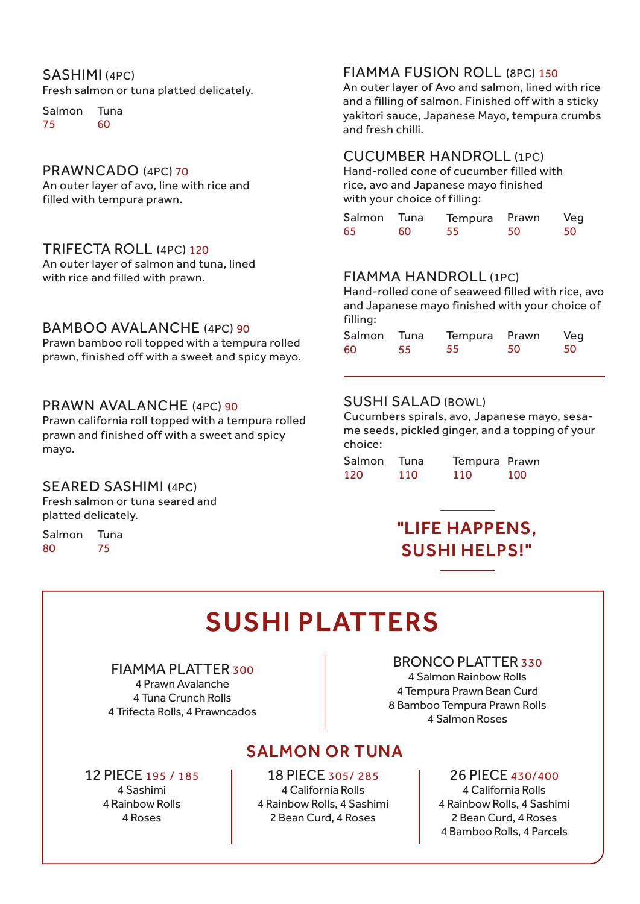## SASHIMI (4PC)

Fresh salmon or tuna platted delicately.

Salmon 75 Tuna 60

#### PRAWNCADO (4PC) 70

An outer layer of avo, line with rice and filled with tempura prawn.

#### TRIFECTA ROLL (4PC) 120

An outer layer of salmon and tuna, lined with rice and filled with prawn.

### BAMBOO AVALANCHE (4PC) 90

Prawn bamboo roll topped with a tempura rolled prawn, finished off with a sweet and spicy mayo.

### PRAWN AVALANCHE (4PC) 90

Prawn california roll topped with a tempura rolled prawn and finished off with a sweet and spicy mayo.

### SEARED SASHIMI (4PC)

Fresh salmon or tuna seared and platted delicately.

Salmon 80 Tuna 75

## FIAMMA FUSION ROLL (8PC) 150

An outer layer of Avo and salmon, lined with rice and a filling of salmon. Finished off with a sticky yakitori sauce, Japanese Mayo, tempura crumbs and fresh chilli.

### CUCUMBER HANDROLL (1PC)

Hand-rolled cone of cucumber filled with rice, avo and Japanese mayo finished with your choice of filling:

| Salmon Tuna |     | Tempura Prawn |    | Veg |
|-------------|-----|---------------|----|-----|
| 65          | 60. | 55            | 50 | 50  |

## FIAMMA HANDROLL (1PC)

Hand-rolled cone of seaweed filled with rice, avo and Japanese mayo finished with your choice of filling:

|    |     | Salmon Tuna Tempura Prawn |    | Veg |
|----|-----|---------------------------|----|-----|
| 60 | -55 | 55                        | 50 | -50 |

#### SUSHI SALAD (BOWL)

Cucumbers spirals, avo, Japanese mayo, sesame seeds, pickled ginger, and a topping of your choice:

| Salmon | Tuna | Tempura Prawn |     |
|--------|------|---------------|-----|
| 120    | 110  | 110           | 100 |

## "LIFE HAPPENS, SUSHI HELPS!"

# SUSHI PLATTERS

### FIAMMA PLATTER 300

4 Prawn Avalanche 4 Tuna Crunch Rolls 4 Trifecta Rolls, 4 Prawncados

## BRONCO PLATTER 330

4 Salmon Rainbow Rolls 4 Tempura Prawn Bean Curd 8 Bamboo Tempura Prawn Rolls 4 Salmon Roses

## 18 PIECE 305/ 285 SALMON OR TUNA

12 PIECE 195 / 185 4 Sashimi 4 Rainbow Rolls

4 Roses

4 California Rolls 4 Rainbow Rolls, 4 Sashimi 2 Bean Curd, 4 Roses

## 26 PIECE 430/400

4 California Rolls 4 Rainbow Rolls, 4 Sashimi 2 Bean Curd, 4 Roses 4 Bamboo Rolls, 4 Parcels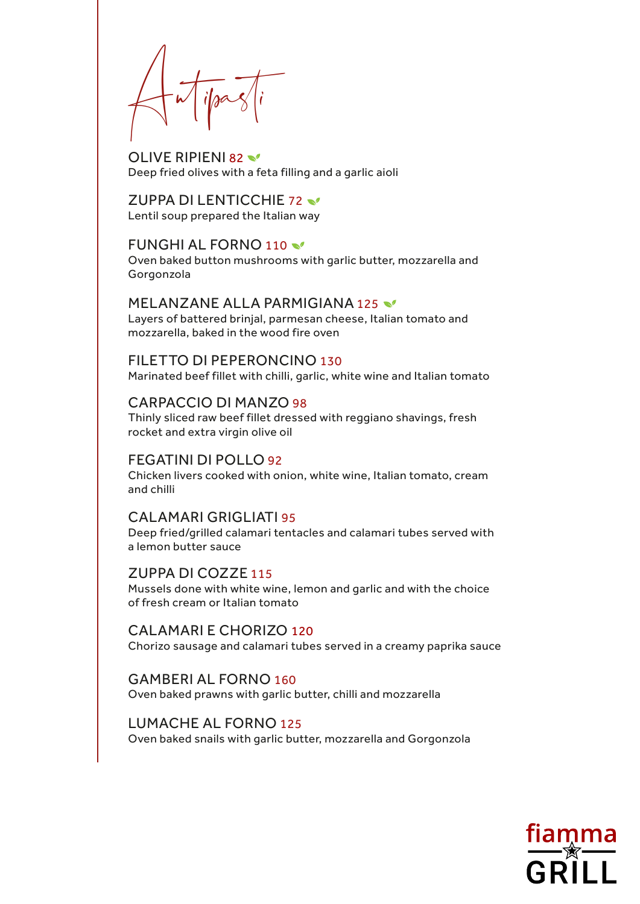$\bigwedge^{\mathsf{r}} \bigwedge^{\mathsf{r}}$ ifpas $\big\langle \big| \big\rangle$ 

OLIVE RIPIENI 82 Deep fried olives with a feta filling and a garlic aioli

ZUPPA DI LENTICCHIE 72 Lentil soup prepared the Italian way

#### FUNGHI AL FORNO 110

Oven baked button mushrooms with garlic butter, mozzarella and Gorgonzola

MELANZANE ALLA PARMIGIANA 125 Layers of battered brinjal, parmesan cheese, Italian tomato and mozzarella, baked in the wood fire oven

FILETTO DI PEPERONCINO 130 Marinated beef fillet with chilli, garlic, white wine and Italian tomato

### CARPACCIO DI MANZO 98

Thinly sliced raw beef fillet dressed with reggiano shavings, fresh rocket and extra virgin olive oil

FEGATINI DI POLLO 92 Chicken livers cooked with onion, white wine, Italian tomato, cream and chilli

CALAMARI GRIGLIATI 95

Deep fried/grilled calamari tentacles and calamari tubes served with a lemon butter sauce

ZUPPA DI COZZE 115 Mussels done with white wine, lemon and garlic and with the choice of fresh cream or Italian tomato

CALAMARI E CHORIZO 120 Chorizo sausage and calamari tubes served in a creamy paprika sauce

GAMBERI AL FORNO 160 Oven baked prawns with garlic butter, chilli and mozzarella

LUMACHE AL FORNO 125 Oven baked snails with garlic butter, mozzarella and Gorgonzola

GRILL

**fiamma**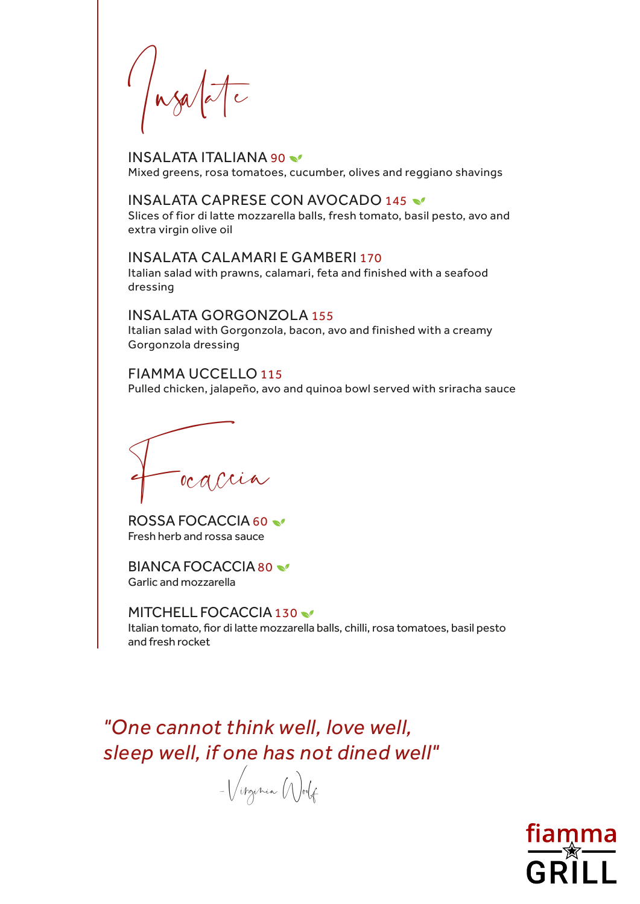$\int$ nsalalat

INSALATA ITALIANA 90 Mixed greens, rosa tomatoes, cucumber, olives and reggiano shavings

### INSALATA CAPRESE CON AVOCADO 145

Slices of fior di latte mozzarella balls, fresh tomato, basil pesto, avo and extra virgin olive oil

INSALATA CALAMARI E GAMBERI 170 Italian salad with prawns, calamari, feta and finished with a seafood dressing

INSALATA GORGONZOLA 155 Italian salad with Gorgonzola, bacon, avo and finished with a creamy Gorgonzola dressing

FIAMMA UCCELLO 115 Pulled chicken, jalapeño, avo and quinoa bowl served with sriracha sauce

ocaccia

ROSSA FOCACCIA 60 Fresh herb and rossa sauce

BIANCA FOCACCIA80 Garlic and mozzarella

MITCHELL FOCACCIA 130 Italian tomato, fior di latte mozzarella balls, chilli, rosa tomatoes, basil pesto and fresh rocket

*"One cannot think well, love well, sleep well, if one has not dined well"*

- Virginia Woolf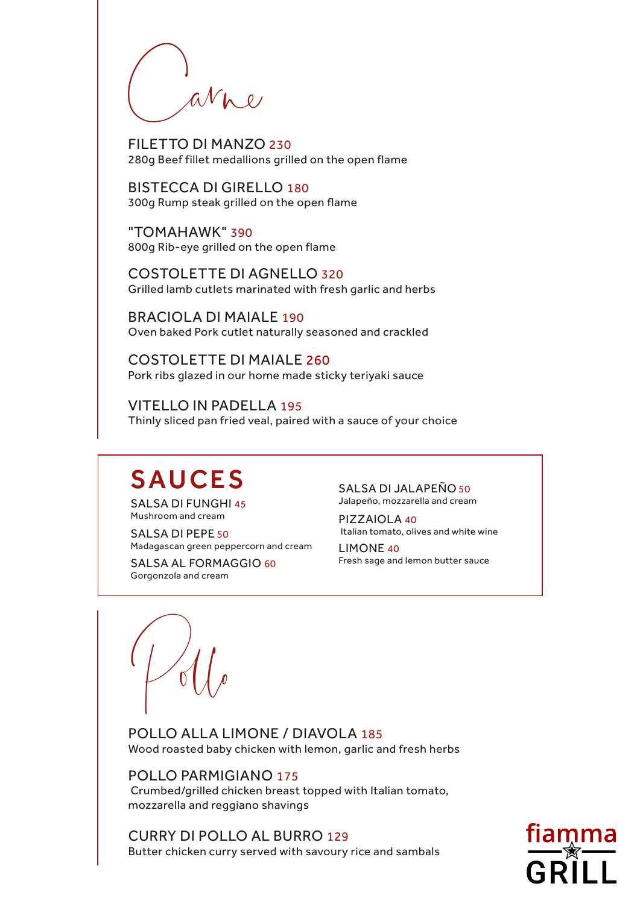avne

FILETTO DI MANZO 230<br>280g Beef fillet medallions grilled on the open flame

BISTECCA DI GIRELLO 180 300g Rump steak grilled on the open flame

"TOMAHAWK" 390 800g Rib-eye grilled on the open flame

COSTOLETTE DI AGNELLO 320 Grilled lamb cutlets marinated with fresh garlic and herbs

BRACIOLA DI MAIALE 190 Oven baked Pork cutlet naturally seasoned and crackled

COSTOLETTE DI MAIALE 260 Pork ribs glazed in our home made sticky teriyaki sauce

VITELLO IN PADELLA 195 Thinly sliced pan fried veal, paired with a sauce of your choice

# SAUCES SALSA DI JALAPEÑO 50

SALSA DI FUNGHI 45 Mushroom and cream

SALSA DI PEPE 50 Madagascan green peppercorn and cream

SALSA AL FORMAGGIO 60 Gorgonzola and cream

Jalapeño, mozzarella and cream

PIZZAIOLA 40 Italian tomato, olives and white wine

LIMONE 40 Fresh sage and lemon butter sauce

 $\sim$ 

POLLO ALLA LIMONE / DIAVOLA 185 Wood roasted baby chicken with lemon, garlic and fresh herbs

POLLO PARMIGIANO 175 Crumbed/grilled chicken breast topped with Italian tomato, mozzarella and reggiano shavings

CURRY DI POLLO AL BURRO 129 Butter chicken curry served with savoury rice and sambals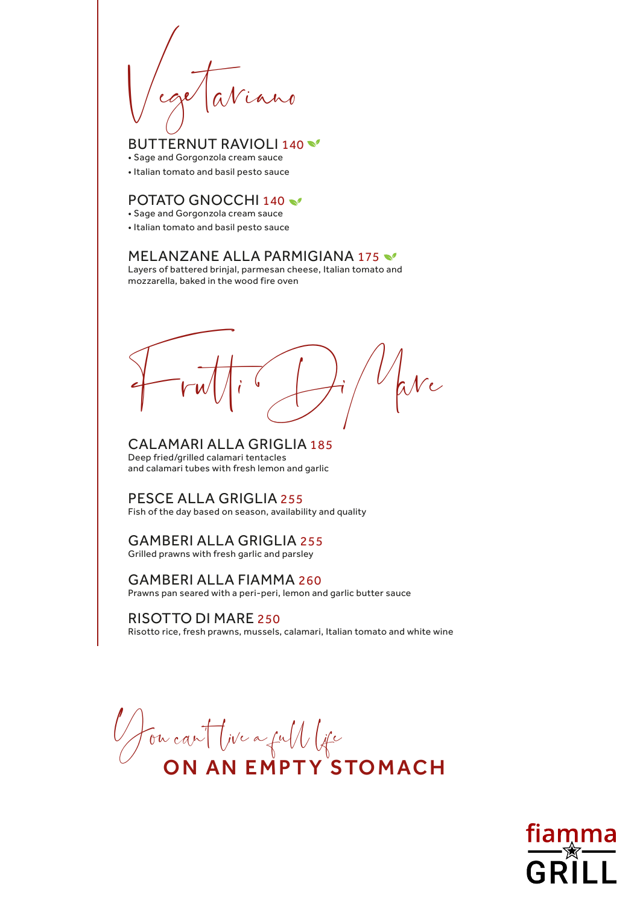Vegetariano

BUTTERNUT RAVIOLI 140 \

- Sage and Gorgonzola cream sauce
- Italian tomato and basil pesto sauce

## POTATO GNOCCHI 140

- Sage and Gorgonzola cream sauce
- Italian tomato and basil pesto sauce

## MELANZANE ALLA PARMIGIANA 175

Layers of battered brinjal, parmesan cheese, Italian tomato and mozzarella, baked in the wood fire oven

 $f = \frac{1}{\sqrt{2\pi}} \int_0^1 \int_0^1 \int_0^1 \int_0^1 \int_0^1 \int_0^1 \int_0^1 \int_0^1 \int_0^1 \int_0^1 \int_0^1 \int_0^1 \int_0^1 \int_0^1 \int_0^1 \int_0^1 \int_0^1 \int_0^1 \int_0^1 \int_0^1 \int_0^1 \int_0^1 \int_0^1 \int_0^1 \int_0^1 \int_0^1 \int_0^1 \int_0^1 \int_0^1 \int_0^1 \int_0^1 \int_0^1 \int_0^1 \int_0^1 \int$ 

CALAMARI ALLA GRIGLIA 185 Deep fried/grilled calamari tentacles and calamari tubes with fresh lemon and garlic

PESCE ALLA GRIGLIA 255 Fish of the day based on season, availability and quality

## GAMBERI ALLA GRIGLIA 255

Grilled prawns with fresh garlic and parsley

## GAMBERI ALLA FIAMMA 260

Prawns pan seared with a peri-peri, lemon and garlic butter sauce

### RISOTTO DI MARE 250

Risotto rice, fresh prawns, mussels, calamari, Italian tomato and white wine

You can't live a full life ON AN EMPTY STOMACH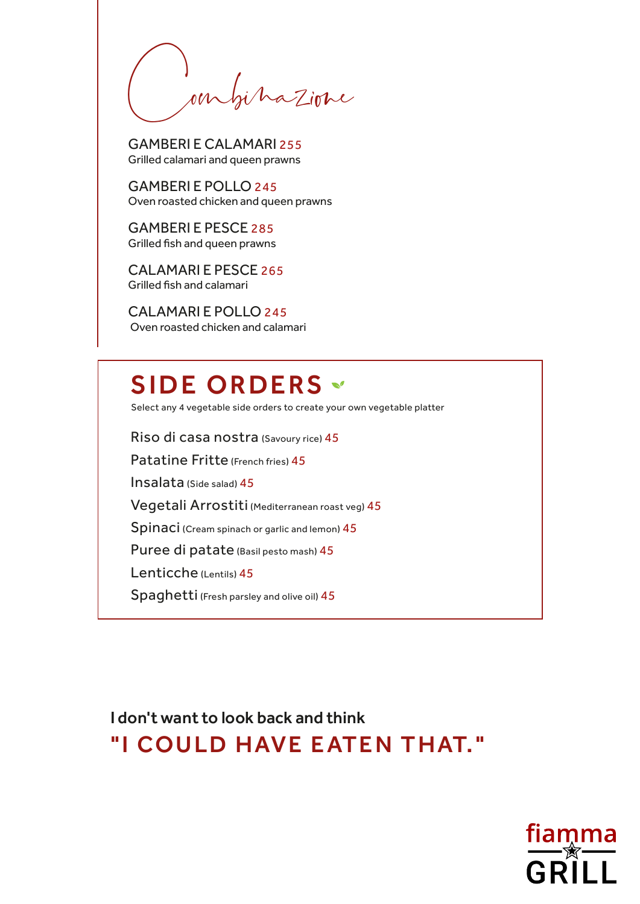on bihazione

GAMBERI E CALAMARI 255 Grilled calamari and queen prawns

GAMBERI E POLLO 245 Oven roasted chicken and queen prawns

GAMBERI E PESCE 285 Grilled fish and queen prawns

CALAMARI E PESCE 265 Grilled fish and calamari

CALAMARI E POLLO 245 Oven roasted chicken and calamari

## SIDE ORDERS \*

Select any 4 vegetable side orders to create your own vegetable platter

Riso di casa nostra (Savoury rice) 45

Patatine Fritte (French fries) 45

Insalata (Side salad) 45

Vegetali Arrostiti (Mediterranean roast veg) 45

Spinaci (Cream spinach or garlic and lemon) 45

Puree di patate (Basil pesto mash) 45

Lenticche (Lentils) 45

Spaghetti (Fresh parsley and olive oil) 45

I don't want to look back and think "I COULD HAVE EATEN THAT."

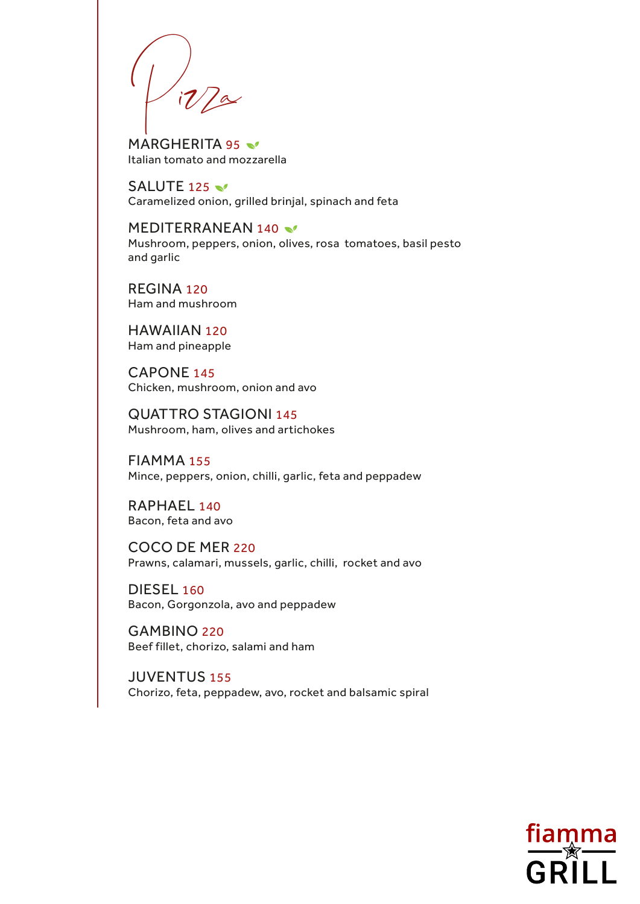$P^1$ 

MARGHERITA 95 Italian tomato and mozzarella

SALUTE 125 Caramelized onion, grilled brinjal, spinach and feta

MEDITERRANEAN 140 Mushroom, peppers, onion, olives, rosa tomatoes, basil pesto and garlic

REGINA 120 Ham and mushroom

HAWAIIAN 120 Ham and pineapple

CAPONE 145 Chicken, mushroom, onion and avo

QUATTRO STAGIONI 145 Mushroom, ham, olives and artichokes

FIAMMA 155 Mince, peppers, onion, chilli, garlic, feta and peppadew

RAPHAEL 140 Bacon, feta and avo

COCO DE MER 220 Prawns, calamari, mussels, garlic, chilli, rocket and avo

DIESEL 160 Bacon, Gorgonzola, avo and peppadew

GAMBINO 220 Beef fillet, chorizo, salami and ham

JUVENTUS 155 Chorizo, feta, peppadew, avo, rocket and balsamic spiral

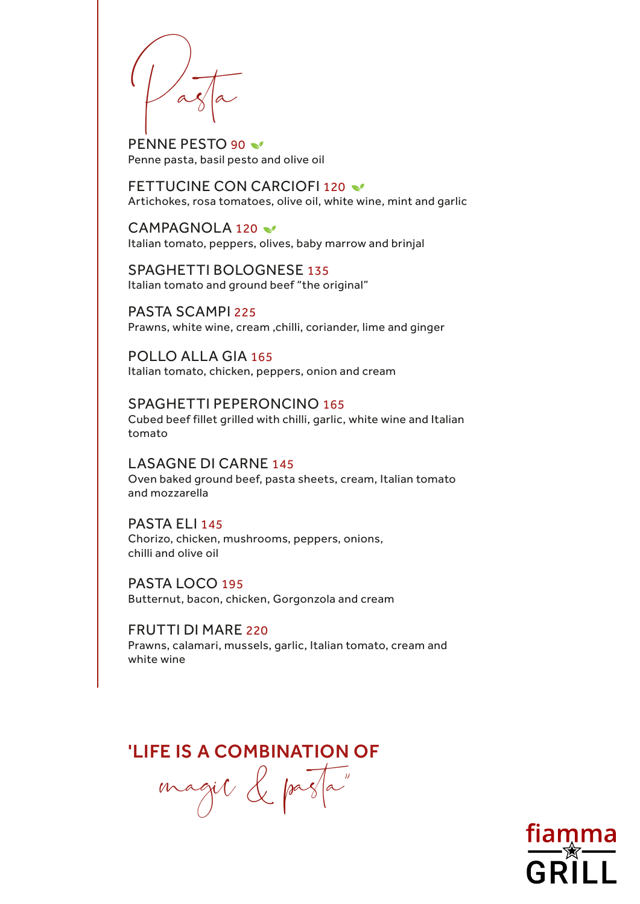$\log |a|$ 

PENNE PESTO 90 Penne pasta, basil pesto and olive oil

FETTUCINE CON CARCIOFI 120 Artichokes, rosa tomatoes, olive oil, white wine, mint and garlic

CAMPAGNOLA 120 Italian tomato, peppers, olives, baby marrow and brinjal

SPAGHETTI BOLOGNESE 135 Italian tomato and ground beef "the original"

PASTA SCAMPI 225 Prawns, white wine, cream ,chilli, coriander, lime and ginger

POLLO ALLA GIA 165 Italian tomato, chicken, peppers, onion and cream

SPAGHETTI PEPERONCINO 165 Cubed beef fillet grilled with chilli, garlic, white wine and Italian tomato

LASAGNE DI CARNE 145 Oven baked ground beef, pasta sheets, cream, Italian tomato and mozzarella

PASTA ELI 145 Chorizo, chicken, mushrooms, peppers, onions, chilli and olive oil

PASTA LOCO 195 Butternut, bacon, chicken, Gorgonzola and cream

FRUTTI DI MARE 220 Prawns, calamari, mussels, garlic, Italian tomato, cream and white wine

'LIFE IS A COMBINATION OF

magic & pasta"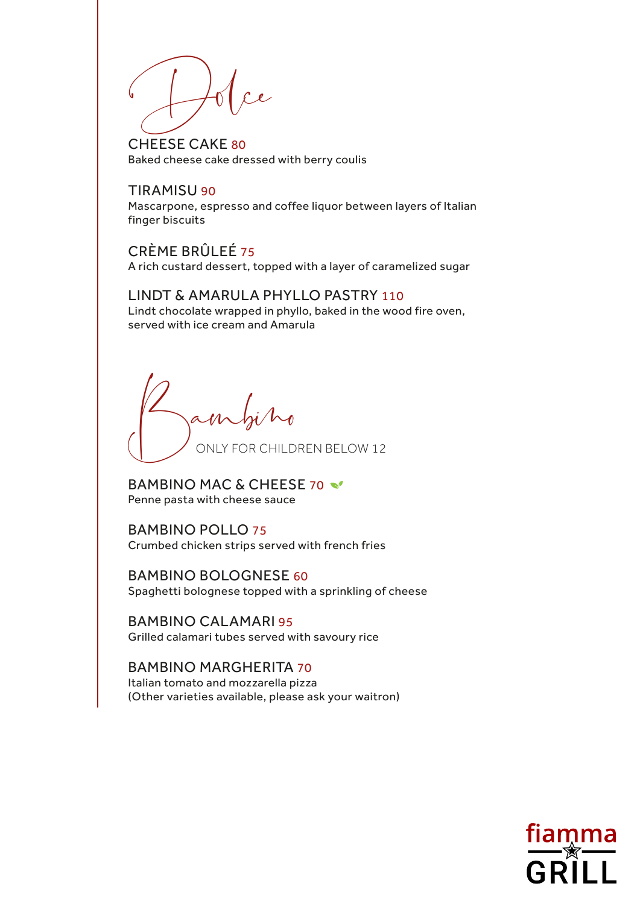$\bigcup_{\alpha}$ 

CHEESE CAKE 80 Baked cheese cake dressed with berry coulis

### TIRAMISU 90

Mascarpone, espresso and coffee liquor between layers of Italian finger biscuits

CRÈME BRÛLEÉ 75 A rich custard dessert, topped with a layer of caramelized sugar

## LINDT & AMARULA PHYLLO PASTRY 110

Lindt chocolate wrapped in phyllo, baked in the wood fire oven, served with ice cream and Amarula

ONLY FOR CHILDREN BELOW 12 Bambino

BAMBINO MAC & CHEESE 70 Penne pasta with cheese sauce

BAMBINO POLLO 75 Crumbed chicken strips served with french fries

BAMBINO BOLOGNESE 60 Spaghetti bolognese topped with a sprinkling of cheese

BAMBINO CALAMARI 95 Grilled calamari tubes served with savoury rice

BAMBINO MARGHERITA 70 Italian tomato and mozzarella pizza (Other varieties available, please ask your waitron)

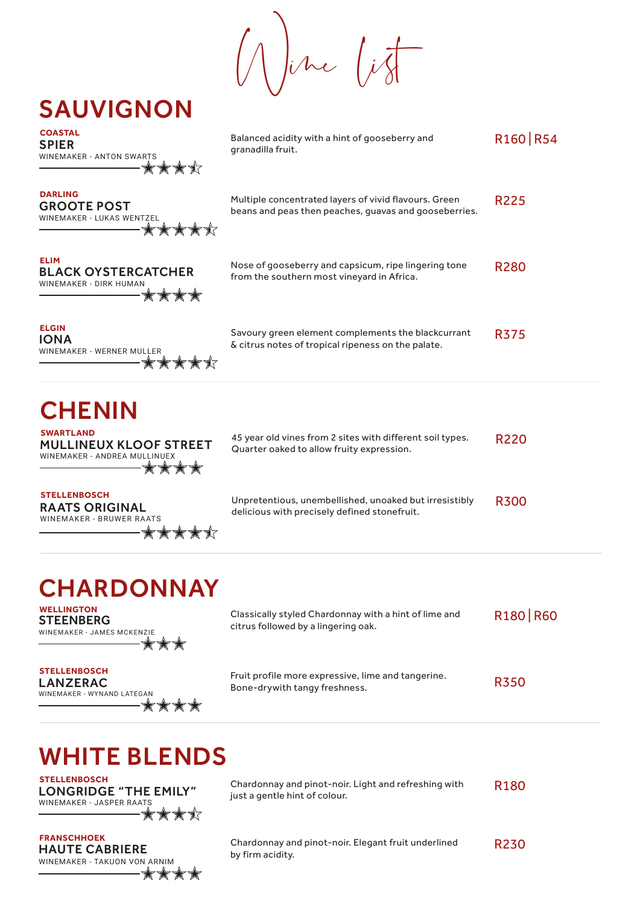$\int_{\mathcal{V}}$ he  $\int_{\mathcal{V}}$ 

| <b>COASTAL</b><br><b>SPIER</b><br><b>WINEMAKER - ANTON SWARTS</b>                        | Balanced acidity with a hint of gooseberry and<br>granadilla fruit.                                            | R <sub>160</sub> R <sub>54</sub> |
|------------------------------------------------------------------------------------------|----------------------------------------------------------------------------------------------------------------|----------------------------------|
| <b>DARLING</b><br><b>GROOTE POST</b><br><b>WINEMAKER - LUKAS WENTZEL</b><br><b>◆◆◆◆◆</b> | Multiple concentrated layers of vivid flavours. Green<br>beans and peas then peaches, quavas and gooseberries. | R225                             |
| <b>ELIM</b><br><b>BLACK OYSTERCATCHER</b><br>WINEMAKER - DIRK HUMAN                      | Nose of gooseberry and capsicum, ripe lingering tone<br>from the southern most vineyard in Africa.             | <b>R280</b>                      |
| <b>ELGIN</b><br>IONA<br>WINEMAKER - WERNER MULLER                                        | Savoury green element complements the blackcurrant<br>& citrus notes of tropical ripeness on the palate.       | <b>R375</b>                      |

## **CHENIN SWARTLAND**

MULLINEUX KLOOF STREET WINEMAKER - ANDREA MULLINUEX \*\*\*\*\*

SAUVIGNON

| 45 year old vines from 2 sites with different soil types. | <b>R220</b> |
|-----------------------------------------------------------|-------------|
| Quarter oaked to allow fruity expression.                 |             |

RAATS ORIGINAL WINEMAKER - BRUWER RAATS **STELLENBOSCH**

Unpretentious, unembellished, unoaked but irresistibly delicious with precisely defined stonefruit. R300

## **CHARDONNAY**

**★★★★**★

 $-\frac{1}{2}$   $\frac{1}{2}$   $\frac{1}{2}$ 

-\*\*\*\*

**STEENBERG** WINEMAKER - JAMES MCKENZIE **WELLINGTON**

Classically styled Chardonnay with a hint of lime and citrus followed by a lingering oak. R180 | R60

LANZERAC **STELLENBOSCH**

WINEMAKER - WYNAND LATEGAN  $\begin{array}{c} \star \star \star \star \star \end{array}$  Fruit profile more expressive, lime and tangerine. Bone-drywith tangy freshness.

# WHITE BLENDS

LONGRIDGE "THE EMILY" WINEMAKER - JASPER RAATS \*\*\*\*\*

HAUTE CABRIERE WINEMAKER - TAKUON VON ARNIM Chardonnay and pinot-noir. Light and refreshing with just a gentle hint of colour.

R180

R350

**FRANSCHHOEK**<br>
Chardonnay and pinot-noir. Elegant fruit underlined by firm acidity.

R230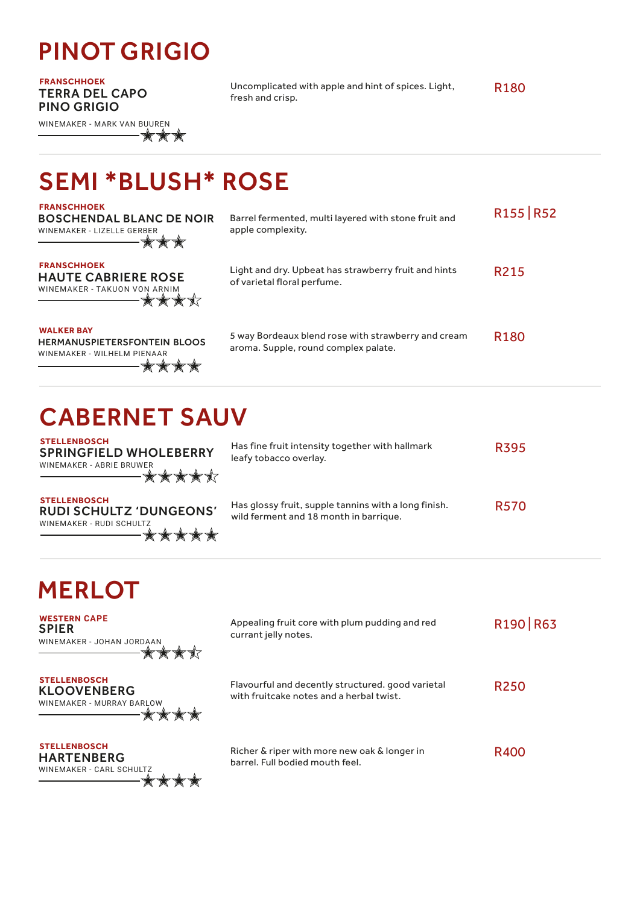# PINOT GRIGIO

TERRA DEL CAPO PINO GRIGIO

WINEMAKER - MARK VAN BUUREN -\*\*\*

**FRANSCHHOEK** Uncomplicated with apple and hint of spices. Light, fresh and crisp.

R180

SEMI \*BLUSH\* ROSE

| <b>FRANSCHHOEK</b><br><b>BOSCHENDAL BLANC DE NOIR</b><br>WINEMAKER - LIZELLE GERBER     | Barrel fermented, multi layered with stone fruit and<br>apple complexity.                   | R <sub>155</sub> R <sub>52</sub> |
|-----------------------------------------------------------------------------------------|---------------------------------------------------------------------------------------------|----------------------------------|
| <b>FRANSCHHOEK</b><br><b>HAUTE CABRIERE ROSE</b><br>WINEMAKER - TAKUON VON ARNIM<br>夹✦  | Light and dry. Upbeat has strawberry fruit and hints<br>of varietal floral perfume.         | R <sub>2</sub> 15                |
| <b>WALKER BAY</b><br><b>HERMANUSPIETERSFONTEIN BLOOS</b><br>WINEMAKER - WILHELM PIENAAR | 5 way Bordeaux blend rose with strawberry and cream<br>aroma. Supple, round complex palate. | R <sub>180</sub>                 |

# CABERNET SAUV

**STELLENBOSCH** SPRINGFIELD WHOLEBERRY WINEMAKER - ABRIE BRUWER ╶┢╆╆╈╈

RUDI SCHULTZ 'DUNGEONS'

\*\*\*\*\*

| Has fine fruit intensity together with hallmark<br>leafy tobacco overlay.                      | <b>R395</b> |
|------------------------------------------------------------------------------------------------|-------------|
| Has glossy fruit, supple tannins with a long finish.<br>wild ferment and 18 month in barrique. | <b>R570</b> |

# **MERLOT**

WINEMAKER - RUDI SCHULTZ

**STELLENBOSCH**

**WESTERN CAPE** SPIER WINEMAKER - JOHAN JORDAAN ╶╈╈╈┧

Appealing fruit core with plum pudding and red currant jelly notes. R190 | R63

KLOOVENBERG WINEMAKER - MURRAY BARLOW **STELLENBOSCH**

Flavourful and decently structured. good varietal with fruitcake notes and a herbal twist. R250

**STELLENBOSCH** HARTENBERG WINEMAKER - CARL SCHULTZ \*\*\*\*\*

Richer & riper with more new oak & longer in barrel. Full bodied mouth feel.

R400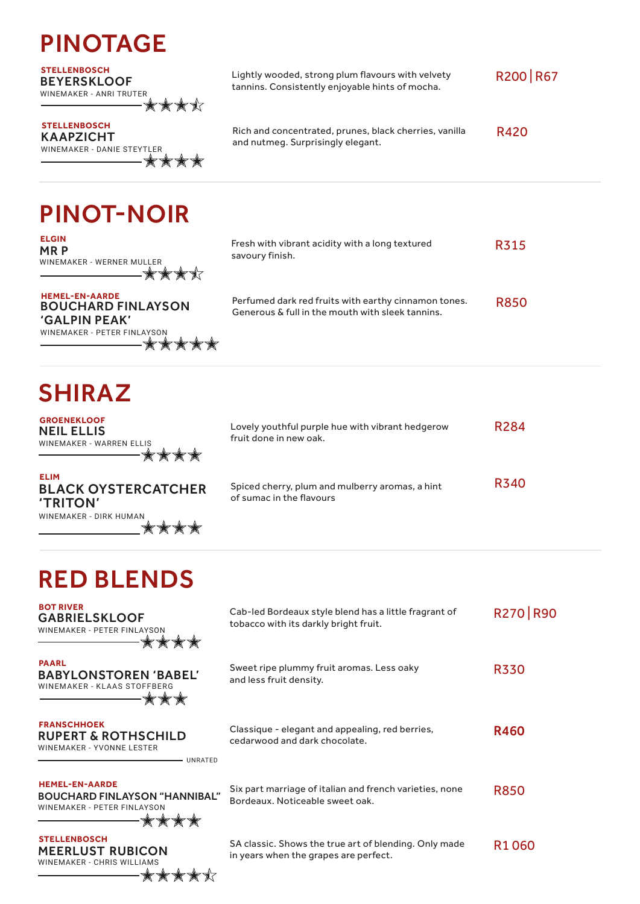|  |  | <b>PINOTAGE</b> |
|--|--|-----------------|
|--|--|-----------------|

BEYERSKLOOF WINEMAKER - ANRI TRUTER ✿✿✿

KAAPZICHT WINEMAKER - DANIE STEYTLER **STELLENBOSCH**<br> **Rich and concentrated, prunes, black cherries, vanilla** 

**STELLENBOSCH** Lightly wooded, strong plum flavours with velvety tannins. Consistently enjoyable hints of mocha.

> and nutmeg. Surprisingly elegant. R420

R200 | R67

\*\*\*\*\*

PINOT-NOIR

 $-$  \* \* \* \* \* \*

★★★★★

WINEMAKER - PETER FINLAYSON

| <b>ELGIN</b><br>MR P<br>WINEMAKER - WERNER MULLER<br>★★★★                                          | Fresh with vibrant acidity with a long textured<br>savoury finish.                                       | R315        |
|----------------------------------------------------------------------------------------------------|----------------------------------------------------------------------------------------------------------|-------------|
| <b>HEMEL-EN-AARDE</b><br><b>BOUCHARD FINLAYSON</b><br>$'$ $C$ $A$ $I$ $D$ $I$ $N$ $D$ $E$ $A$ $K'$ | Perfumed dark red fruits with earthy cinnamon tones.<br>Generous & full in the mouth with sleek tannins. | <b>R850</b> |

SHIRAZ

'GALPIN PEAK'

MR P

**GROENEKLOOF** NEIL ELLIS WINEMAKER - WARREN ELLIS ▓▓▓▓

Lovely youthful purple hue with vibrant hedgerow fruit done in new oak. R284

**ELIM** BLACK OYSTERCATCHER 'TRITON' WINEMAKER - DIRK HUMAN \*\*\*\*

Spiced cherry, plum and mulberry aromas, a hint of sumac in the flavours R340

# RED BLENDS

**BOT RIVER** Cab-led Bordeaux style blend has a little fragrant of R270 | R90 GABRIELSKLOOF tobacco with its darkly bright fruit. WINEMAKER - PETER FINLAYSON \*\*\*\*\* **PAARL** Sweet ripe plummy fruit aromas. Less oaky R330 BABYLONSTOREN 'BABEL' and less fruit density. WINEMAKER - KLAAS STOFFBERG  $\frac{1}{2} \frac{1}{2} \frac{1}{2} \frac{1}{2} \frac{1}{2}$ **FRANSCHHOEK** Classique - elegant and appealing, red berries, R460 RUPERT & ROTHSCHILD cedarwood and dark chocolate. WINEMAKER - YVONNE LESTER UNRATED **HEMEL-EN-AARDE** Six part marriage of italian and french varieties, none R850BOUCHARD FINLAYSON "HANNIBAL" Bordeaux. Noticeable sweet oak. WINEMAKER - PETER FINLAYSON  $\stackrel{\wedge}{\times}\stackrel{\wedge}{\times}$ ★★★ **STELLENBOSCH** SA classic. Shows the true art of blending. Only made R1 060 MEERLUST RUBICON in years when the grapes are perfect. WINEMAKER - CHRIS WILLIAMS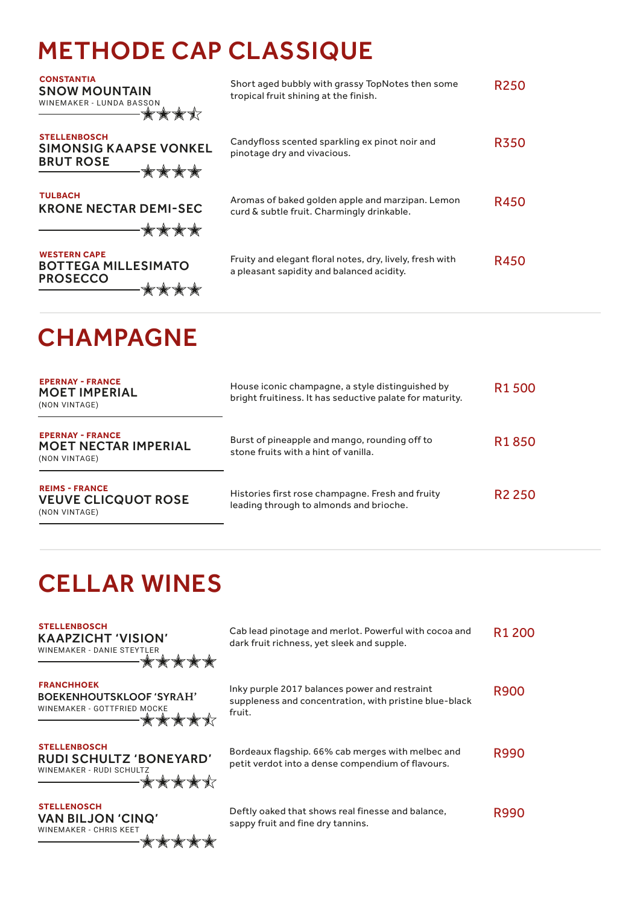# METHODE CAP CLASSIQUE

| <b>CONSTANTIA</b><br><b>SNOW MOUNTAIN</b><br>WINEMAKER - LUNDA BASSON            | Short aged bubbly with grassy TopNotes then some<br>tropical fruit shining at the finish.             | <b>R250</b> |
|----------------------------------------------------------------------------------|-------------------------------------------------------------------------------------------------------|-------------|
| <b>STELLENBOSCH</b><br><b>SIMONSIG KAAPSE VONKEL</b><br><b>BRUT ROSE</b><br>★★★★ | Candyfloss scented sparkling ex pinot noir and<br>pinotage dry and vivacious.                         | <b>R350</b> |
| <b>TULBACH</b><br><b>KRONE NECTAR DEMI-SEC</b><br>****                           | Aromas of baked golden apple and marzipan. Lemon<br>curd & subtle fruit. Charmingly drinkable.        | R450        |
| <b>WESTERN CAPE</b><br><b>BOTTEGA MILLESIMATO</b><br><b>PROSECCO</b>             | Fruity and elegant floral notes, dry, lively, fresh with<br>a pleasant sapidity and balanced acidity. | <b>R450</b> |

# **CHAMPAGNE**

| <b>EPERNAY - FRANCE</b><br><b>MOET IMPERIAL</b><br>(NON VINTAGE)        | House iconic champagne, a style distinguished by<br>bright fruitiness. It has seductive palate for maturity. | R <sub>1</sub> 500 |
|-------------------------------------------------------------------------|--------------------------------------------------------------------------------------------------------------|--------------------|
| <b>EPERNAY - FRANCE</b><br><b>MOET NECTAR IMPERIAL</b><br>(NON VINTAGE) | Burst of pineapple and mango, rounding off to<br>stone fruits with a hint of vanilla.                        | R <sub>1</sub> 850 |
| <b>REIMS - FRANCE</b><br><b>VEUVE CLICQUOT ROSE</b><br>(NON VINTAGE)    | Histories first rose champagne. Fresh and fruity<br>leading through to almonds and brioche.                  | R <sub>2</sub> 250 |

## CELLAR WINES

| <b>STELLENBOSCH</b><br><b>KAAPZICHT 'VISION'</b><br>WINEMAKER - DANIE STEYTLER             | Cab lead pinotage and merlot. Powerful with cocoa and<br>dark fruit richness, yet sleek and supple.               | R <sub>1</sub> 200 |
|--------------------------------------------------------------------------------------------|-------------------------------------------------------------------------------------------------------------------|--------------------|
| <b>FRANCHHOEK</b><br><b>BOEKENHOUTSKLOOF 'SYRAH'</b><br>WINEMAKER - GOTTFRIED MOCKE        | Inky purple 2017 balances power and restraint<br>suppleness and concentration, with pristine blue-black<br>fruit. | <b>R900</b>        |
| <b>STELLENBOSCH</b><br>RUDI SCHULTZ 'BONEYARD'<br>WINEMAKER - RUDI SCHULTZ<br><b>◆◆◆◆◆</b> | Bordeaux flagship. 66% cab merges with melbec and<br>petit verdot into a dense compendium of flavours.            | R990               |
| <b>STELLENOSCH</b><br><b>VAN BILJON 'CINQ'</b><br><b>WINEMAKER - CHRIS KEET</b>            | Deftly oaked that shows real finesse and balance,<br>sappy fruit and fine dry tannins.                            | <b>R990</b>        |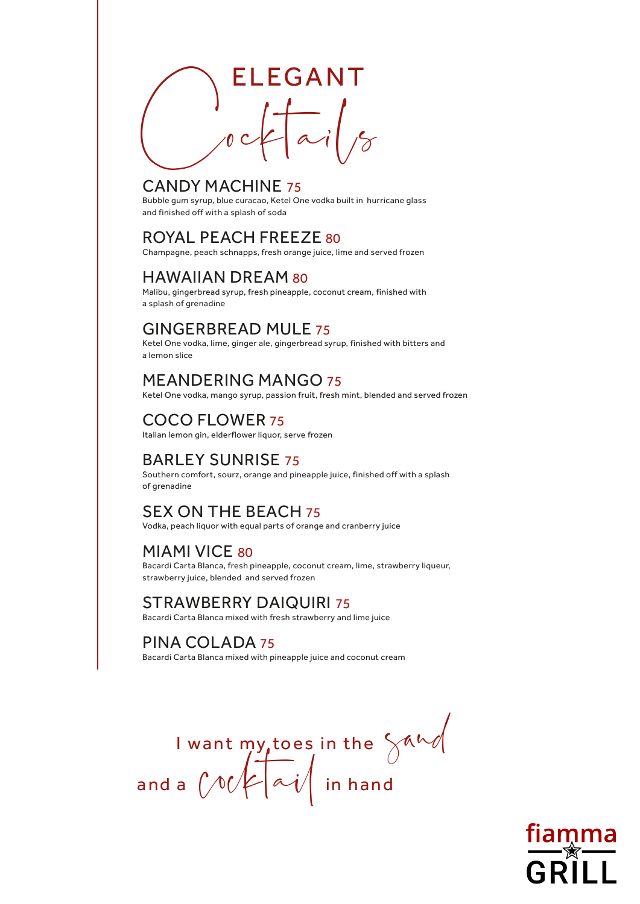

## CANDY MACHINE 75

Bubble gum syrup, blue curacao, Ketel One vodka built in hurricane glass and finished off with a splash of soda

## ROYAL PEACH FREEZE 80

Champagne, peach schnapps, fresh orange juice, lime and served frozen

## HAWAIIAN DREAM 80

Malibu, gingerbread syrup, fresh pineapple, coconut cream, finished with a splash of grenadine

## GINGERBREAD MULE 75

Ketel One vodka, lime, ginger ale, gingerbread syrup, finished with bitters and a lemon slice

## MEANDERING MANGO 75

Ketel One vodka, mango syrup, passion fruit, fresh mint, blended and served frozen

## COCO FLOWER 75

Italian lemon gin, elderflower liquor, serve frozen

## BARLEY SUNRISE 75

Southern comfort, sourz, orange and pineapple juice, finished off with a splash of grenadine

## SEX ON THE BEACH 75

Vodka, peach liquor with equal parts of orange and cranberry juice

## MIAMI VICE 80

Bacardi Carta Blanca, fresh pineapple, coconut cream, lime, strawberry liqueur, strawberry juice, blended and served frozen

## STRAWBERRY DAIQUIRI 75

Bacardi Carta Blanca mixed with fresh strawberry and lime juice

## PINA COLADA 75

Bacardi Carta Blanca mixed with pineapple juice and coconut cream

I want  ${\sf my, toe}$ s in the and a  $\left(\middle/ \mathbb{V} \middle/ \right| \curvearrowright \big/ \mid$  in hand sand  $Cock[\sim v]$ 

GRILL

**fiamma**